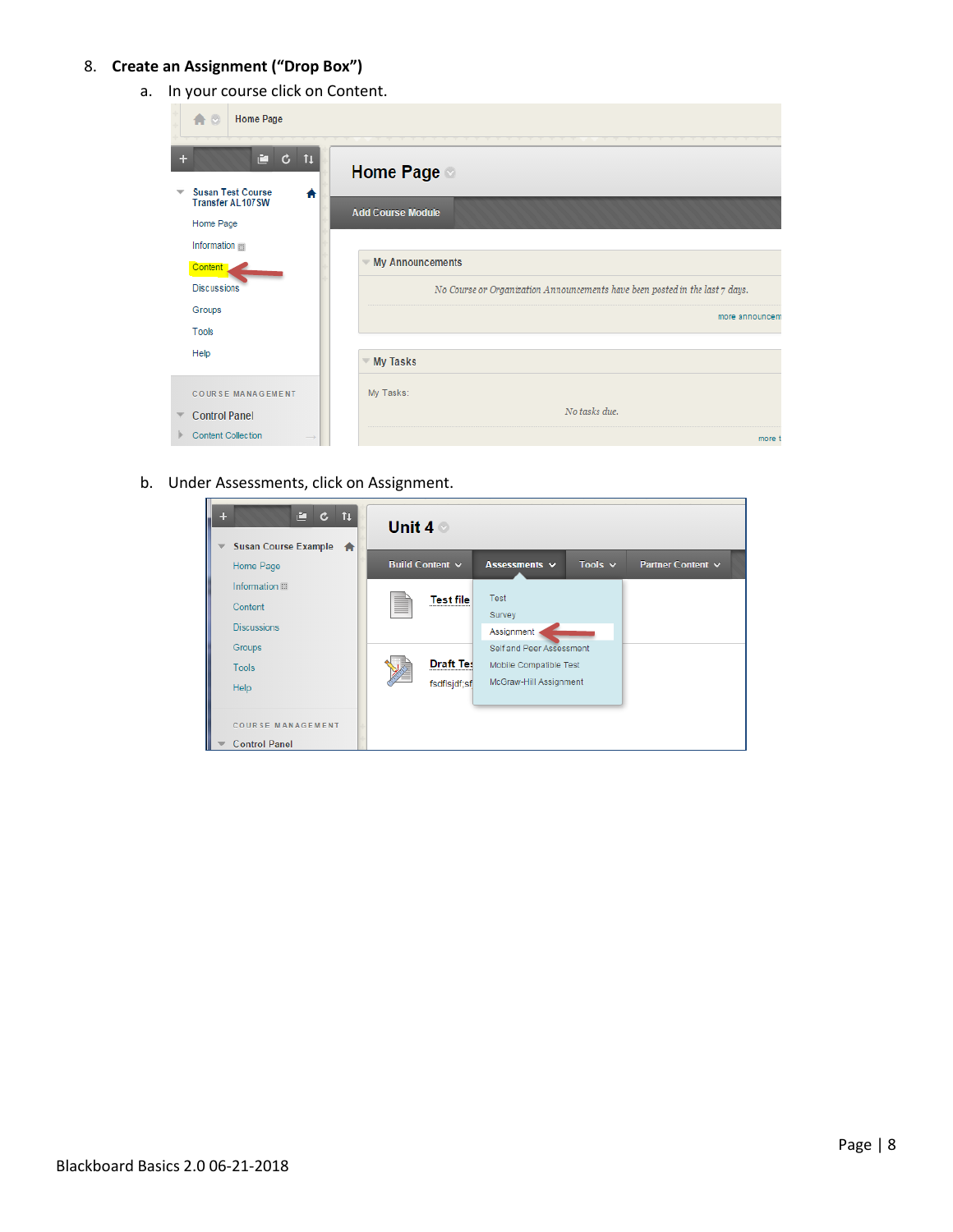## 8. **Create an Assignment ("Drop Box")**

a. In your course click on Content.

| 合口<br><b>Home Page</b>                                                |                                                                                |
|-----------------------------------------------------------------------|--------------------------------------------------------------------------------|
| Ē.<br>$C$ $11$<br>÷                                                   | <b>Home Page</b>                                                               |
| <b>Susan Test Course</b><br>₩<br><b>Transfer AL107SW</b><br>Home Page | <b>Add Course Module</b>                                                       |
| Information<br>Content                                                | <b>My Announcements</b>                                                        |
| <b>Discussions</b>                                                    | No Course or Organization Announcements have been posted in the last $7$ days. |
| Groups<br>Tools                                                       | more announcem                                                                 |
| Help                                                                  | <b>My Tasks</b>                                                                |
| <b>COURSE MANAGEMENT</b>                                              | My Tasks:                                                                      |
| <b>Control Panel</b>                                                  | No tasks due.                                                                  |
| <b>Content Collection</b>                                             | more t                                                                         |

b. Under Assessments, click on Assignment.

| $C$ $T$<br>÷<br>Susan Course Example <a><br/><math>\overline{\phantom{a}}</math></a> | Unit $4^{\circ}$ |                      |                          |              |                   |
|--------------------------------------------------------------------------------------|------------------|----------------------|--------------------------|--------------|-------------------|
| Home Page                                                                            |                  | Build Content v      | Assessments v            | Tools $\sim$ | Partner Content v |
|                                                                                      |                  |                      |                          |              |                   |
| Information                                                                          |                  | <b>Test file</b>     | <b>Test</b>              |              |                   |
| Content                                                                              |                  |                      | Survey                   |              |                   |
| <b>Discussions</b>                                                                   |                  |                      | Assignment               |              |                   |
| Groups                                                                               |                  |                      | Self and Peer Assessment |              |                   |
| <b>Tools</b>                                                                         |                  | <b>Draft Tes</b><br> | Mobile Compatible Test   |              |                   |
|                                                                                      |                  | fsdflsjdf;sf         | McGraw-Hill Assignment   |              |                   |
| Help                                                                                 |                  |                      |                          |              |                   |
|                                                                                      |                  |                      |                          |              |                   |
| <b>COURSE MANAGEMENT</b>                                                             |                  |                      |                          |              |                   |
| <b>Control Panel</b>                                                                 |                  |                      |                          |              |                   |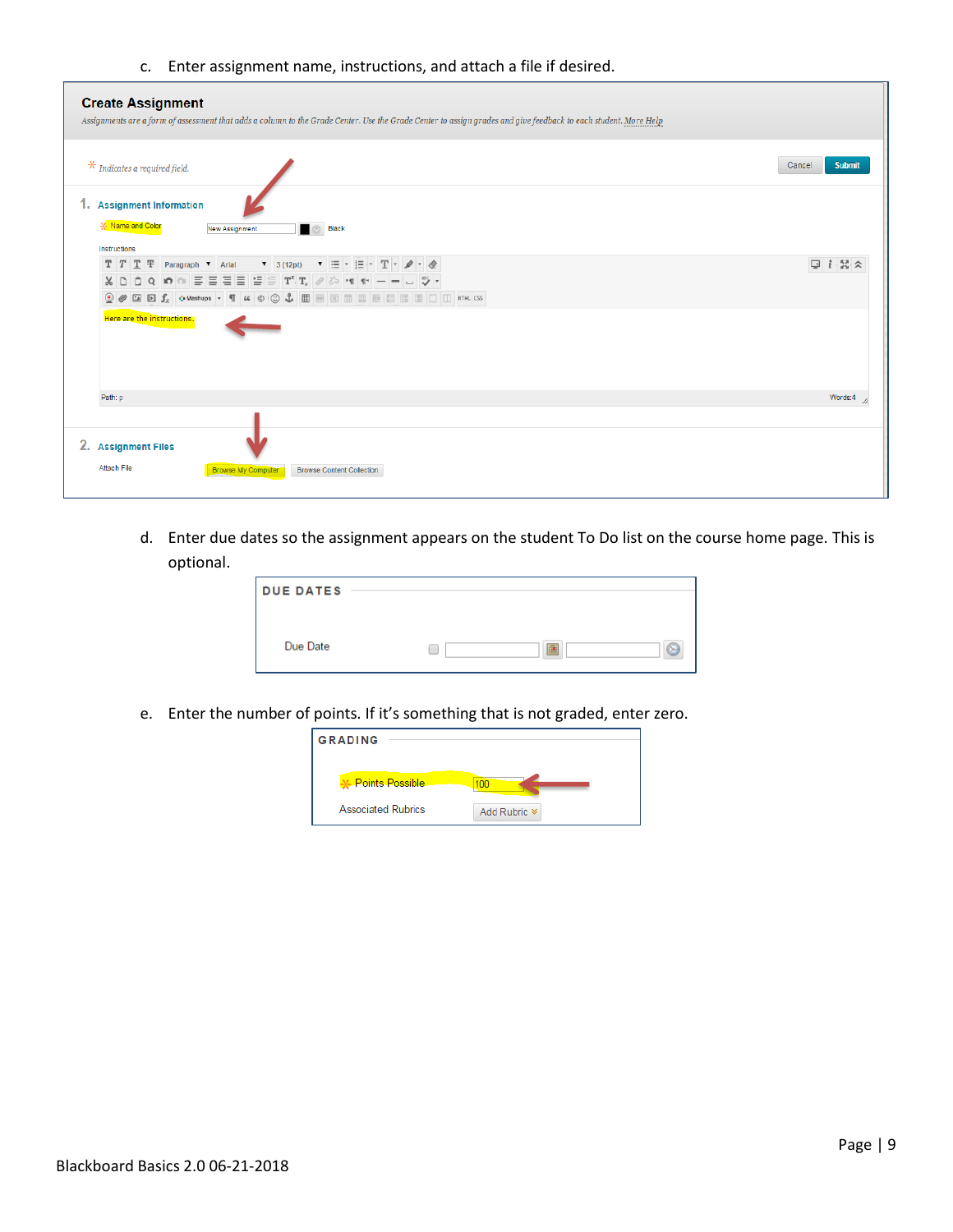c. Enter assignment name, instructions, and attach a file if desired.

| <b>Create Assignment</b><br>Assignments are a form of assessment that adds a column to the Grade Center. Use the Grade Center to assign grades and give feedback to each student. More Help                                                                                                                                                                                                                                                                                                                                                                                                                                                                                                                                                                                                                                                                                                                                                                                                                                                                                                                                                                       |                         |
|-------------------------------------------------------------------------------------------------------------------------------------------------------------------------------------------------------------------------------------------------------------------------------------------------------------------------------------------------------------------------------------------------------------------------------------------------------------------------------------------------------------------------------------------------------------------------------------------------------------------------------------------------------------------------------------------------------------------------------------------------------------------------------------------------------------------------------------------------------------------------------------------------------------------------------------------------------------------------------------------------------------------------------------------------------------------------------------------------------------------------------------------------------------------|-------------------------|
| $\mathbf{\mathcal{F}}$ Indicates a required field.                                                                                                                                                                                                                                                                                                                                                                                                                                                                                                                                                                                                                                                                                                                                                                                                                                                                                                                                                                                                                                                                                                                | Cancel<br><b>Submit</b> |
| 1. Assignment Information                                                                                                                                                                                                                                                                                                                                                                                                                                                                                                                                                                                                                                                                                                                                                                                                                                                                                                                                                                                                                                                                                                                                         |                         |
| -X- Name and Color<br><b>Black</b><br>$\begin{array}{c} \circ \\ \circ \circ \end{array}$<br>New Assignment<br><b>Instructions</b>                                                                                                                                                                                                                                                                                                                                                                                                                                                                                                                                                                                                                                                                                                                                                                                                                                                                                                                                                                                                                                |                         |
| $T$ $T$ $T$ $T$ $T$ Paragraph $\bullet$ Arial $\bullet$ 3 (12pt) $\bullet$ $\equiv$ $\bullet$ $\equiv$ $\bullet$ $T$ $\bullet$ $\bullet$ $\circ$<br>$\texttt{X} \hspace{0.2em}\texttt{D} \hspace{0.2em}\texttt{D} \hspace{0.2em}\texttt{C} \hspace{0.2em}\texttt{C} \hspace{0.2em}\texttt{D} \hspace{0.2em}\texttt{C} \hspace{0.2em}\texttt{D} \hspace{0.2em}\texttt{C} \hspace{0.2em}\texttt{D} \hspace{0.2em}\texttt{D} \hspace{0.2em}\texttt{C} \hspace{0.2em}\texttt{D} \hspace{0.2em}\texttt{D} \hspace{0.2em}\texttt{D} \hspace{0.2em}\texttt{D} \hspace{$<br>$\textcircled{\tiny{\bullet}}\text{ \textcircled{\tiny{M}}} \text{ \textcircled{\tiny{M}} \text{ \textcircled{\tiny{M}}}, \text{ \textcircled{\tiny{M}} \text{ is a non-zero}} \text{ \textcircled{\tiny{M}}}, \text{ \textcircled{\tiny{M}} \text{ \textcircled{\tiny{M}}} \text{ \textcircled{\tiny{M}}} \text{ \textcircled{\tiny{M}}} \text{ \textcircled{\tiny{M}}} \text{ \textcircled{\tiny{M}}} \text{ \textcircled{\tiny{M}}} \text{ \textcircled{\tiny{M}}} \text{ \textcircled{\tiny{M}}} \text{ \textcircled{\tiny{M}}} \text{ \textcircled{\tiny{M}}} \text{ \textcircled{\tiny$ | $Q_i$ $X \times$        |
| Here are the instructions.                                                                                                                                                                                                                                                                                                                                                                                                                                                                                                                                                                                                                                                                                                                                                                                                                                                                                                                                                                                                                                                                                                                                        |                         |
| Path: p                                                                                                                                                                                                                                                                                                                                                                                                                                                                                                                                                                                                                                                                                                                                                                                                                                                                                                                                                                                                                                                                                                                                                           | Words:4                 |
| 2. Assignment Files<br>Attach File<br><b>Browse My Computer</b><br><b>Browse Content Collection</b>                                                                                                                                                                                                                                                                                                                                                                                                                                                                                                                                                                                                                                                                                                                                                                                                                                                                                                                                                                                                                                                               |                         |

d. Enter due dates so the assignment appears on the student To Do list on the course home page. This is optional.

| <b>DUE DATES</b> |        |
|------------------|--------|
| Due Date         | G<br>匾 |

e. Enter the number of points. If it's something that is not graded, enter zero.

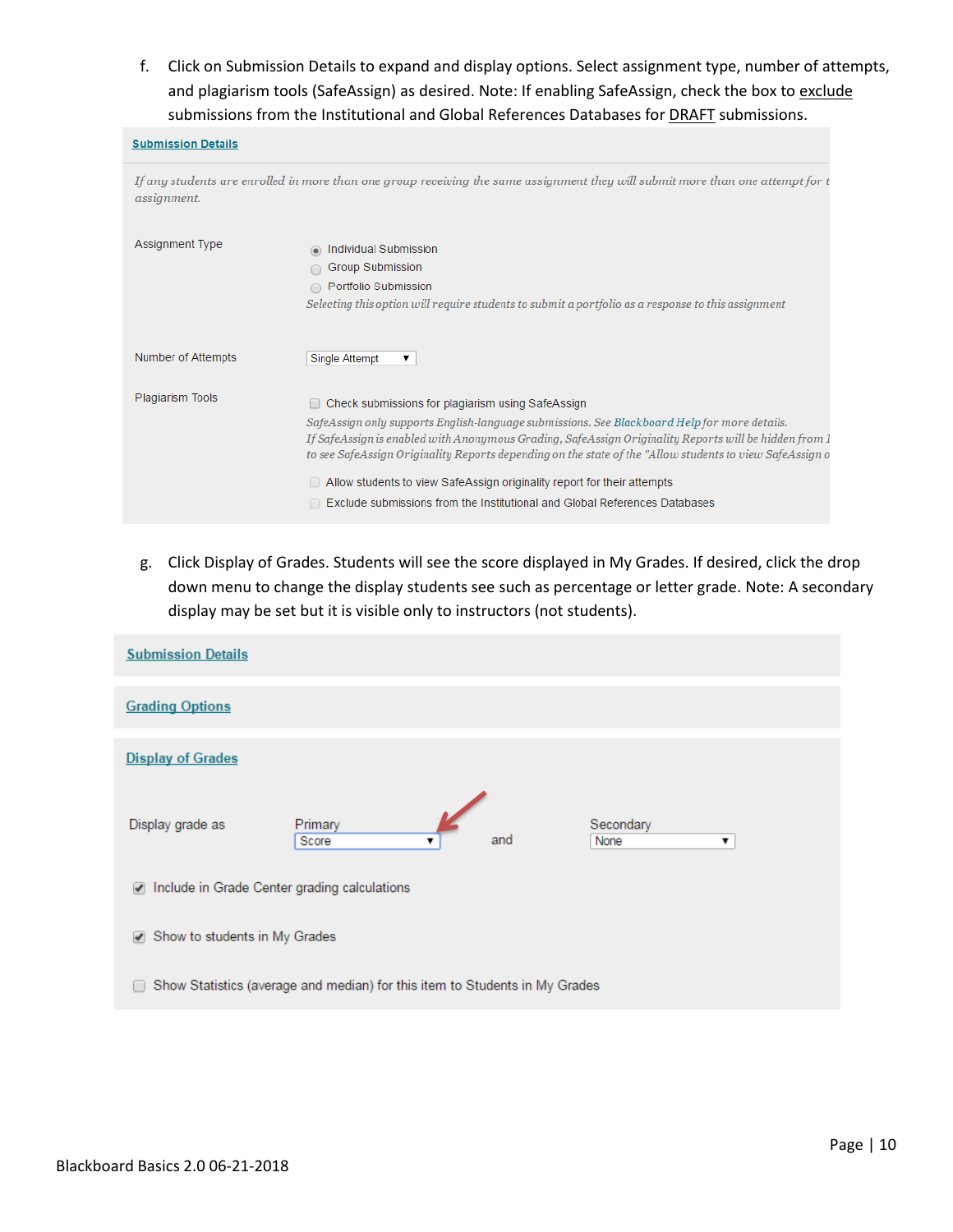f. Click on Submission Details to expand and display options. Select assignment type, number of attempts, and plagiarism tools (SafeAssign) as desired. Note: If enabling SafeAssign, check the box to exclude submissions from the Institutional and Global References Databases for **DRAFT** submissions.

| <b>Submission Details</b> |                                                                                                                                                                                                                                                                                                                                                                                                                                                                                                                                        |
|---------------------------|----------------------------------------------------------------------------------------------------------------------------------------------------------------------------------------------------------------------------------------------------------------------------------------------------------------------------------------------------------------------------------------------------------------------------------------------------------------------------------------------------------------------------------------|
| assignment.               | If any students are enrolled in more than one group receiving the same assignment they will submit more than one attempt for t                                                                                                                                                                                                                                                                                                                                                                                                         |
| <b>Assignment Type</b>    | Individual Submission<br>Group Submission<br>Portfolio Submission<br>Selecting this option will require students to submit a portfolio as a response to this assignment                                                                                                                                                                                                                                                                                                                                                                |
| Number of Attempts        | <b>Single Attempt</b><br>▼                                                                                                                                                                                                                                                                                                                                                                                                                                                                                                             |
| Plagiarism Tools          | Check submissions for plagiarism using SafeAssign<br>SafeAssign only supports English-language submissions. See Blackboard Help for more details.<br>If SafeAssign is enabled with Anonymous Grading, SafeAssign Originality Reports will be hidden from 1<br>to see SafeAssign Originality Reports depending on the state of the "Allow students to view SafeAssign o<br>$\Box$ Allow students to view SafeAssign originality report for their attempts<br>Exclude submissions from the Institutional and Global References Databases |

g. Click Display of Grades. Students will see the score displayed in My Grades. If desired, click the drop down menu to change the display students see such as percentage or letter grade. Note: A secondary display may be set but it is visible only to instructors (not students).

| <b>Submission Details</b>                                                   |                       |     |                        |  |
|-----------------------------------------------------------------------------|-----------------------|-----|------------------------|--|
| <b>Grading Options</b>                                                      |                       |     |                        |  |
| <b>Display of Grades</b>                                                    |                       |     |                        |  |
| Display grade as                                                            | Primary<br>Score<br>▼ | and | Secondary<br>None<br>▼ |  |
| Include in Grade Center grading calculations<br>$\blacktriangledown$        |                       |     |                        |  |
| Show to students in My Grades<br>$\blacktriangledown$                       |                       |     |                        |  |
| Show Statistics (average and median) for this item to Students in My Grades |                       |     |                        |  |